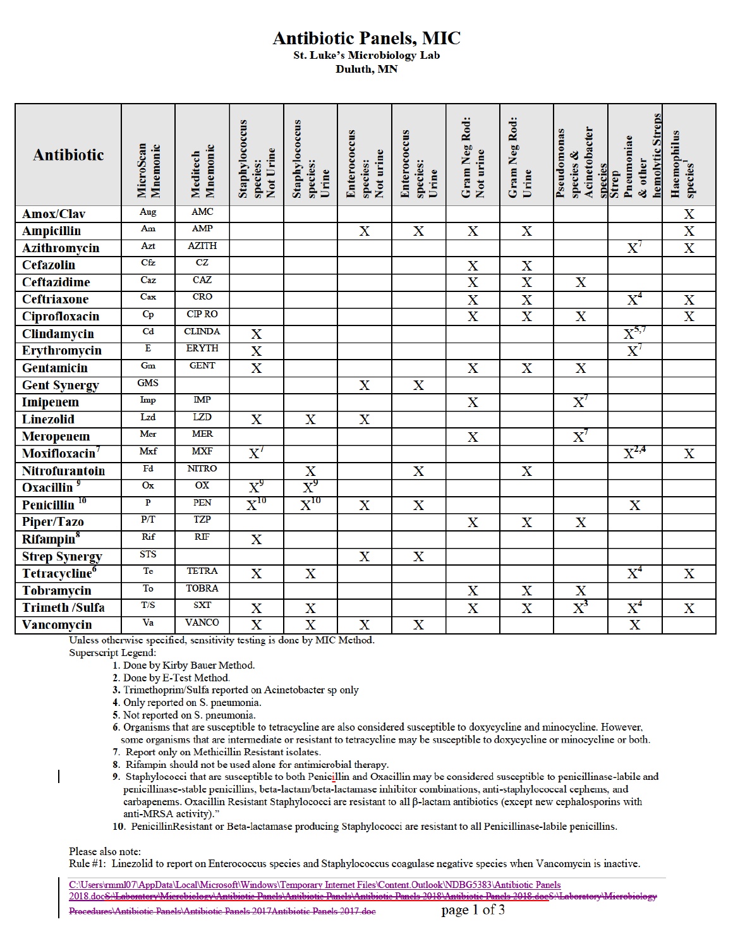## **Antibiotic Panels, MIC**

**St. Luke's Microbiology Lab** Duluth, MN

| <b>Antibiotic</b>         | Mnemonic<br>MicroScan   | Mnemonic<br>Meditech | Staphylococcus<br>Not Urine<br>species: | Staphylococcus<br>species:<br>Urine | Enterococcus<br>Not urine<br>species: | Enterococcus<br>species:<br>Urine | Gram Neg Rod:<br>Not urine | Gram Neg Rod:<br>Urine  | Acinetobacter<br>Pseudomonas<br>species &<br>species | hemolytic Streps<br>Pneumoniae<br>& other<br><b>Strep</b> | Haemophilus<br>species <sup>1</sup> |
|---------------------------|-------------------------|----------------------|-----------------------------------------|-------------------------------------|---------------------------------------|-----------------------------------|----------------------------|-------------------------|------------------------------------------------------|-----------------------------------------------------------|-------------------------------------|
| <b>Amox/Clav</b>          | Aug                     | <b>AMC</b>           |                                         |                                     |                                       |                                   |                            |                         |                                                      |                                                           | $\overline{\textbf{X}}$             |
| <b>Ampicillin</b>         | Am                      | <b>AMP</b>           |                                         |                                     | $\overline{\textbf{X}}$               | $\mathbf X$                       | $\overline{\mathbf{X}}$    | $\mathbf X$             |                                                      |                                                           | $\frac{\overline{X}}{\overline{X}}$ |
| <b>Azithromycin</b>       | Azt                     | <b>AZITH</b>         |                                         |                                     |                                       |                                   |                            |                         |                                                      | $\text{X}^7$                                              |                                     |
| <b>Cefazolin</b>          | Cfz                     | CZ                   |                                         |                                     |                                       |                                   | $\mathbf X$                | $\mathbf X$             |                                                      |                                                           |                                     |
| <b>Ceftazidime</b>        | Caz                     | <b>CAZ</b>           |                                         |                                     |                                       |                                   | $\overline{\mathbf{X}}$    | $\overline{\text{X}}$   | X                                                    |                                                           |                                     |
| <b>Ceftriaxone</b>        | Cax                     | <b>CRO</b>           |                                         |                                     |                                       |                                   | $\overline{\mathbf{X}}$    | $\overline{\textbf{X}}$ |                                                      | $\overline{X}^4$                                          | $\overline{\mathbf{X}}$             |
| <b>Ciprofloxacin</b>      | $C_{P}$                 | <b>CIP RO</b>        |                                         |                                     |                                       |                                   | $\overline{\text{X}}$      | $\overline{\textbf{X}}$ | $\overline{\text{X}}$                                |                                                           | $\overline{\text{X}}$               |
| Clindamycin               | Cd                      | <b>CLINDA</b>        | $\mathbf X$                             |                                     |                                       |                                   |                            |                         |                                                      | $X^{5,7}$                                                 |                                     |
| Erythromycin              | E                       | <b>ERYTH</b>         | $\overline{\text{X}}$                   |                                     |                                       |                                   |                            |                         |                                                      | $\boldsymbol{\mathrm{X}}^7$                               |                                     |
| <b>Gentamicin</b>         | Gm                      | <b>GENT</b>          | $\overline{\text{X}}$                   |                                     |                                       |                                   | X                          | X                       | X                                                    |                                                           |                                     |
| <b>Gent Synergy</b>       | <b>GMS</b>              |                      |                                         |                                     | $\overline{\text{X}}$                 | $\mathbf X$                       |                            |                         |                                                      |                                                           |                                     |
| <b>Imipenem</b>           | Imp                     | IMP                  |                                         |                                     |                                       |                                   | $\overline{\mathbf{X}}$    |                         | $\overline{\mathrm{X}}{}^{7}$                        |                                                           |                                     |
| <b>Linezolid</b>          | Lzd                     | <b>LZD</b>           | $\mathbf X$                             | $\mathbf X$                         | $\mathbf X$                           |                                   |                            |                         |                                                      |                                                           |                                     |
| <b>Meropenem</b>          | Mer                     | <b>MER</b>           |                                         |                                     |                                       |                                   | $\mathbf X$                |                         | $\boldsymbol{\mathrm{X}}^{\!\mathbf{\mathcal{T}}}$   |                                                           |                                     |
| Moxifloxacin <sup>7</sup> | Mxf                     | <b>MXF</b>           | $\overline{\mathrm{X}}{}^{7}$           |                                     |                                       |                                   |                            |                         |                                                      | $X^{2,4}$                                                 | $\mathbf X$                         |
| <b>Nitrofurantoin</b>     | Fd                      | <b>NITRO</b>         |                                         | X                                   |                                       | $\mathbf X$                       |                            | X                       |                                                      |                                                           |                                     |
| Oxacillin <sup>9</sup>    | Ox                      | OX                   | $X^9$                                   | $X^9$                               |                                       |                                   |                            |                         |                                                      |                                                           |                                     |
| Penicillin <sup>10</sup>  | $\overline{\mathbf{P}}$ | PEN                  | $\boldsymbol{\mathrm{X}}^{10}$          | $\boldsymbol{\mathrm{X}}^{10}$      | $\mathbf X$                           | $\mathbf X$                       |                            |                         |                                                      | X                                                         |                                     |
| Piper/Tazo                | P/T                     | <b>TZP</b>           |                                         |                                     |                                       |                                   | $\mathbf X$                | $\mathbf X$             | $\mathbf X$                                          |                                                           |                                     |
| Rifampin <sup>8</sup>     | Rif                     | RIF                  | $\overline{\textbf{X}}$                 |                                     |                                       |                                   |                            |                         |                                                      |                                                           |                                     |
| <b>Strep Synergy</b>      | <b>STS</b>              |                      |                                         |                                     | $\mathbf X$                           | $\mathbf X$                       |                            |                         |                                                      |                                                           |                                     |
| Tetracycline <sup>6</sup> | Te                      | <b>TETRA</b>         | $\overline{\textbf{X}}$                 | $\overline{\textbf{X}}$             |                                       |                                   |                            |                         |                                                      | $\overline{\text{X}}^{4}$                                 | $\overline{\textbf{X}}$             |
| <b>Tobramycin</b>         | To                      | <b>TOBRA</b>         |                                         |                                     |                                       |                                   | X                          | X                       | $\mathbf{X}$                                         |                                                           |                                     |
| <b>Trimeth /Sulfa</b>     | T/S                     | <b>SXT</b>           | X                                       | $\overline{\text{X}}$               |                                       |                                   | $\overline{\textbf{X}}$    | $\overline{\mathbf{X}}$ | $\boldsymbol{\mathrm{X}}^3$                          | $X^4$                                                     | $\mathbf X$                         |
| Vancomycin                | Va                      | <b>VANCO</b>         | $\overline{\text{X}}$                   | $\overline{\text{X}}$               | $\mathbf X$                           | X                                 |                            |                         |                                                      | $\overline{\text{X}}$                                     |                                     |

Unless otherwise specified, sensitivity testing is done by MIC Method.

Superscript Legend:

1. Done by Kirby Bauer Method.

2. Done by E-Test Method.

3. Trimethoprim/Sulfa reported on Acinetobacter sp only

4. Only reported on S. pneumonia.

- 5. Not reported on S. pneumonia.
- 6. Organisms that are susceptible to tetracycline are also considered susceptible to doxycycline and minocycline. However, some organisms that are intermediate or resistant to tetracycline may be susceptible to doxycycline or minocycline or both.
- 7. Report only on Methicillin Resistant isolates.
- 8. Rifampin should not be used alone for antimicrobial therapy.
- 9. Staphylococci that are susceptible to both Penicillin and Oxacillin may be considered susceptible to penicillinase-labile and penicillinase-stable penicillins, beta-lactam/beta-lactamase inhibitor combinations, anti-staphylococcal cephems, and carbapenems. Oxacillin Resistant Staphylococci are resistant to all β-lactam antibiotics (except new cephalosporins with anti-MRSA activity)."

page 1 of 3

10. PenicillinResistant or Beta-lactamase producing Staphylococci are resistant to all Penicillinase-labile penicillins.

Please also note:

 $\overline{\phantom{a}}$ 

Rule #1: Linezolid to report on Enterococcus species and Staphylococcus coagulase negative species when Vancomycin is inactive.

C:\Users\rmml07\AppData\Local\Microsoft\Windows\Temporary Internet Files\Content.Outlook\NDBG5383\Antibiotic Panels Microbiology 2018.docS-Haboratory/Microbiology/Antibiotic Panels/Antibiotic Panels/Antibiotic Panels 2018/Antibiotic Panels 2018.docS-

Procedures\Antibiotic Panels\Antibiotic Panels 2017Antibiotic Panels 2017.doc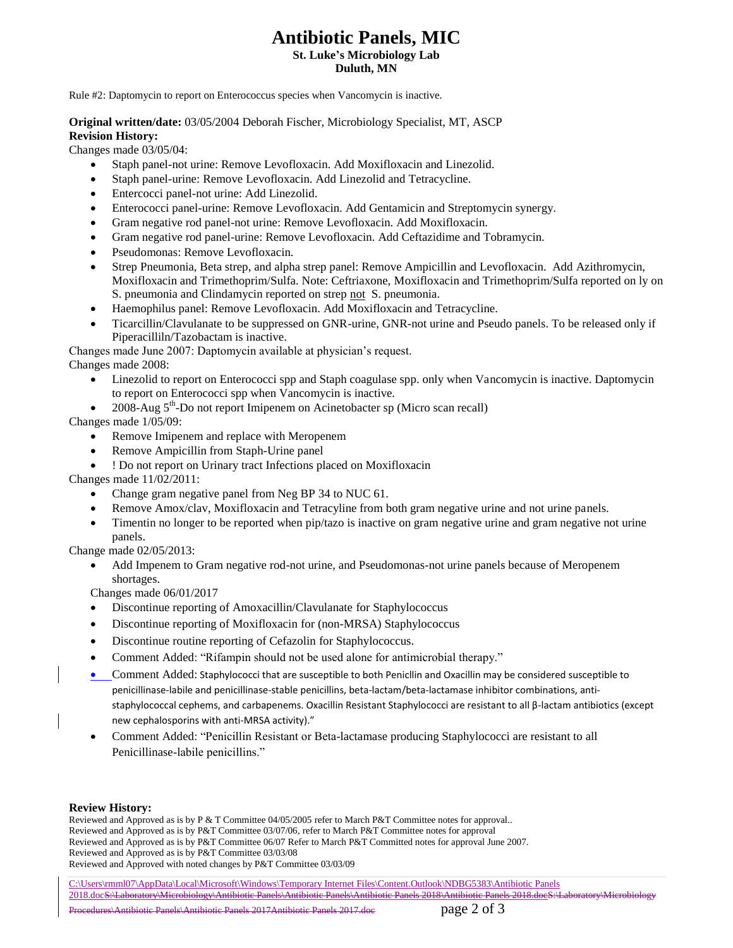# **Antibiotic Panels, MIC**

**St. Luke's Microbiology Lab Duluth, MN**

Rule #2: Daptomycin to report on Enterococcus species when Vancomycin is inactive.

**Original written/date:** 03/05/2004 Deborah Fischer, Microbiology Specialist, MT, ASCP **Revision History:**

Changes made 03/05/04:

- Staph panel-not urine: Remove Levofloxacin. Add Moxifloxacin and Linezolid.
- Staph panel-urine: Remove Levofloxacin. Add Linezolid and Tetracycline.
- Entercocci panel-not urine: Add Linezolid.
- Enterococci panel-urine: Remove Levofloxacin. Add Gentamicin and Streptomycin synergy.
- Gram negative rod panel-not urine: Remove Levofloxacin. Add Moxifloxacin.
- Gram negative rod panel-urine: Remove Levofloxacin. Add Ceftazidime and Tobramycin.
- Pseudomonas: Remove Levofloxacin.
- Strep Pneumonia, Beta strep, and alpha strep panel: Remove Ampicillin and Levofloxacin. Add Azithromycin, Moxifloxacin and Trimethoprim/Sulfa. Note: Ceftriaxone, Moxifloxacin and Trimethoprim/Sulfa reported on ly on S. pneumonia and Clindamycin reported on strep not S. pneumonia.
- Haemophilus panel: Remove Levofloxacin. Add Moxifloxacin and Tetracycline.
- Ticarcillin/Clavulanate to be suppressed on GNR-urine, GNR-not urine and Pseudo panels. To be released only if Piperacilliln/Tazobactam is inactive.
- Changes made June 2007: Daptomycin available at physician's request.

Changes made 2008:

- Linezolid to report on Enterococci spp and Staph coagulase spp. only when Vancomycin is inactive. Daptomycin to report on Enterococci spp when Vancomycin is inactive.
- 2008-Aug  $5<sup>th</sup>$ -Do not report Imipenem on Acinetobacter sp (Micro scan recall)

Changes made 1/05/09:

- Remove Imipenem and replace with Meropenem
- Remove Ampicillin from Staph-Urine panel
- ! Do not report on Urinary tract Infections placed on Moxifloxacin

Changes made 11/02/2011:

- Change gram negative panel from Neg BP 34 to NUC 61.
- Remove Amox/clav, Moxifloxacin and Tetracyline from both gram negative urine and not urine panels.
- Timentin no longer to be reported when pip/tazo is inactive on gram negative urine and gram negative not urine panels.

Change made 02/05/2013:

 Add Impenem to Gram negative rod-not urine, and Pseudomonas-not urine panels because of Meropenem shortages.

Changes made 06/01/2017

- Discontinue reporting of Amoxacillin/Clavulanate for Staphylococcus
- Discontinue reporting of Moxifloxacin for (non-MRSA) Staphylococcus
- Discontinue routine reporting of Cefazolin for Staphylococcus.
- Comment Added: "Rifampin should not be used alone for antimicrobial therapy."
- Comment Added: Staphylococci that are susceptible to both Penicllin and Oxacillin may be considered susceptible to penicillinase-labile and penicillinase-stable penicillins, beta-lactam/beta-lactamase inhibitor combinations, antistaphylococcal cephems, and carbapenems. Oxacillin Resistant Staphylococci are resistant to all β-lactam antibiotics (except new cephalosporins with anti-MRSA activity)."
- Comment Added: "Penicillin Resistant or Beta-lactamase producing Staphylococci are resistant to all Penicillinase-labile penicillins."

### **Review History:**

Reviewed and Approved as is by P & T Committee 04/05/2005 refer to March P&T Committee notes for approval.. Reviewed and Approved as is by P&T Committee 03/07/06, refer to March P&T Committee notes for approval Reviewed and Approved as is by P&T Committee 06/07 Refer to March P&T Committed notes for approval June 2007. Reviewed and Approved as is by P&T Committee 03/03/08 Reviewed and Approved with noted changes by P&T Committee 03/03/09

C:\Users\rmml07\AppData\Local\Microsoft\Windows\Temporary Internet Files\Content.Outlook\NDBG5383\Antibiotic Panels 2018.docS:\Laboratory\Microbiology\Antibiotic Panels\Antibiotic Panels\Antibiotic Panels 2018\Antibiotic Panels 2018.docS:\Laboratory\Microbiology